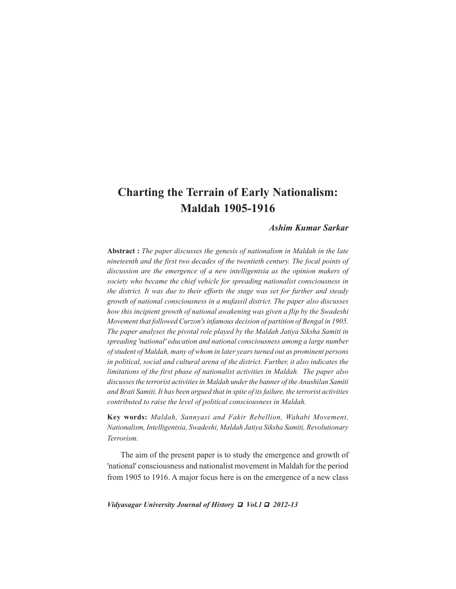# **Charting the Terrain of Early Nationalism: Maldah 1905-1916**

# *Ashim Kumar Sarkar*

**Abstract :** *The paper discusses the genesis of nationalism in Maldah in the late nineteenth and the first two decades of the twentieth century. The focal points of discussion are the emergence of a new intelligentsia as the opinion makers of society who became the chief vehicle for spreading nationalist consciousness in the district. It was due to their efforts the stage was set for further and steady growth of national consciousness in a mufassil district. The paper also discusses how this incipient growth of national awakening was given a flip by the Swadeshi Movement that followed Curzon's infamous decision of partition of Bengal in 1905. The paper analyses the pivotal role played by the Maldah Jatiya Siksha Samiti in spreading 'national' education and national consciousness among a large number of student of Maldah, many of whom in later years turned out as prominent persons in political, social and cultural arena of the district. Further, it also indicates the limitations of the first phase of nationalist activities in Maldah. The paper also discusses the terrorist activities in Maldah under the banner of the Anushilan Samiti and Brati Samiti. It has been argued that in spite of its failure, the terrorist activities contributed to raise the level of political consciousness in Maldah.*

**Key words:** *Maldah, Sannyasi and Fakir Rebellion, Wahabi Movement, Nationalism, Intelligentsia, Swadeshi, Maldah Jatiya Siksha Samiti, Revolutionary Terrorism.*

The aim of the present paper is to study the emergence and growth of 'national' consciousness and nationalist movement in Maldah for the period from 1905 to 1916. A major focus here is on the emergence of a new class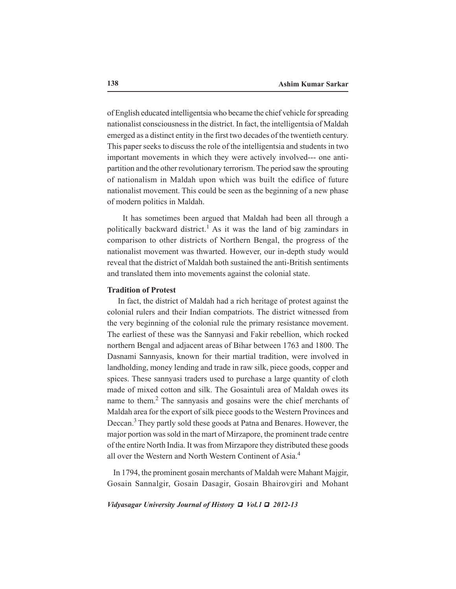of English educated intelligentsia who became the chief vehicle for spreading nationalist consciousness in the district. In fact, the intelligentsia of Maldah emerged as a distinct entity in the first two decades of the twentieth century. This paper seeks to discuss the role of the intelligentsia and students in two important movements in which they were actively involved--- one antipartition and the other revolutionary terrorism. The period saw the sprouting of nationalism in Maldah upon which was built the edifice of future nationalist movement. This could be seen as the beginning of a new phase of modern politics in Maldah.

 It has sometimes been argued that Maldah had been all through a politically backward district.<sup>1</sup> As it was the land of big zamindars in comparison to other districts of Northern Bengal, the progress of the nationalist movement was thwarted. However, our in-depth study would reveal that the district of Maldah both sustained the anti-British sentiments and translated them into movements against the colonial state.

# **Tradition of Protest**

 In fact, the district of Maldah had a rich heritage of protest against the colonial rulers and their Indian compatriots. The district witnessed from the very beginning of the colonial rule the primary resistance movement. The earliest of these was the Sannyasi and Fakir rebellion, which rocked northern Bengal and adjacent areas of Bihar between 1763 and 1800. The Dasnami Sannyasis, known for their martial tradition, were involved in landholding, money lending and trade in raw silk, piece goods, copper and spices. These sannyasi traders used to purchase a large quantity of cloth made of mixed cotton and silk. The Gosaintuli area of Maldah owes its name to them.<sup>2</sup> The sannyasis and gosains were the chief merchants of Maldah area for the export of silk piece goods to the Western Provinces and Deccan.3 They partly sold these goods at Patna and Benares. However, the major portion was sold in the mart of Mirzapore, the prominent trade centre of the entire North India. It was from Mirzapore they distributed these goods all over the Western and North Western Continent of Asia.4

 In 1794, the prominent gosain merchants of Maldah were Mahant Majgir, Gosain Sannalgir, Gosain Dasagir, Gosain Bhairovgiri and Mohant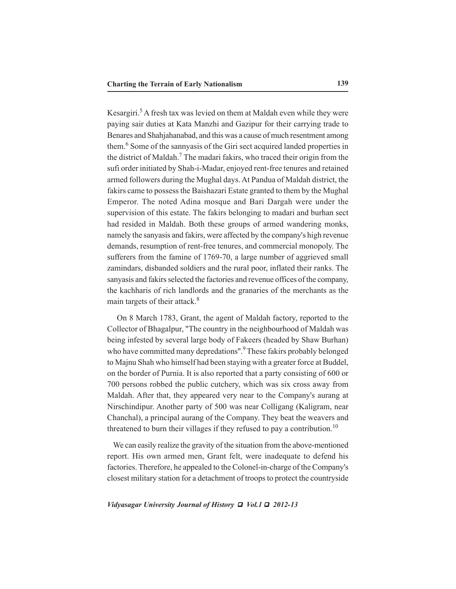Kesargiri.<sup>5</sup> A fresh tax was levied on them at Maldah even while they were paying sair duties at Kata Manzhi and Gazipur for their carrying trade to Benares and Shahjahanabad, and this was a cause of much resentment among them.<sup>6</sup> Some of the sannyasis of the Giri sect acquired landed properties in the district of Maldah.<sup>7</sup> The madari fakirs, who traced their origin from the sufi order initiated by Shah-i-Madar, enjoyed rent-free tenures and retained armed followers during the Mughal days. At Pandua of Maldah district, the fakirs came to possess the Baishazari Estate granted to them by the Mughal Emperor. The noted Adina mosque and Bari Dargah were under the supervision of this estate. The fakirs belonging to madari and burhan sect had resided in Maldah. Both these groups of armed wandering monks, namely the sanyasis and fakirs, were affected by the company's high revenue demands, resumption of rent-free tenures, and commercial monopoly. The sufferers from the famine of 1769-70, a large number of aggrieved small zamindars, disbanded soldiers and the rural poor, inflated their ranks. The sanyasis and fakirs selected the factories and revenue offices of the company, the kachharis of rich landlords and the granaries of the merchants as the main targets of their attack.<sup>8</sup>

 On 8 March 1783, Grant, the agent of Maldah factory, reported to the Collector of Bhagalpur, "The country in the neighbourhood of Maldah was being infested by several large body of Fakeers (headed by Shaw Burhan) who have committed many depredations".<sup>9</sup> These fakirs probably belonged to Majnu Shah who himself had been staying with a greater force at Buddel, on the border of Purnia. It is also reported that a party consisting of 600 or 700 persons robbed the public cutchery, which was six cross away from Maldah. After that, they appeared very near to the Company's aurang at Nirschindipur. Another party of 500 was near Colligang (Kaligram, near Chanchal), a principal aurang of the Company. They beat the weavers and threatened to burn their villages if they refused to pay a contribution.<sup>10</sup>

 We can easily realize the gravity of the situation from the above-mentioned report. His own armed men, Grant felt, were inadequate to defend his factories. Therefore, he appealed to the Colonel-in-charge of the Company's closest military station for a detachment of troops to protect the countryside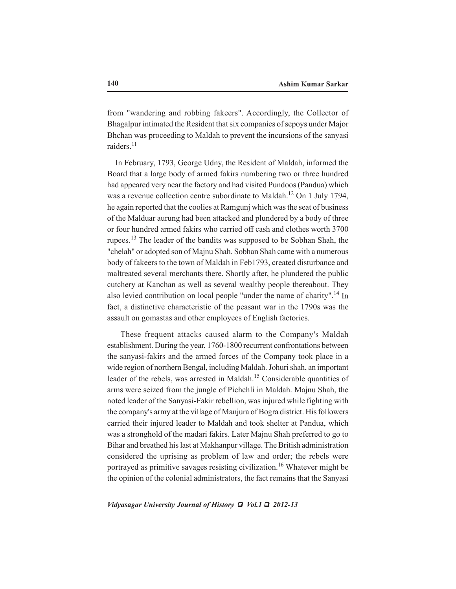from "wandering and robbing fakeers". Accordingly, the Collector of Bhagalpur intimated the Resident that six companies of sepoys under Major Bhchan was proceeding to Maldah to prevent the incursions of the sanyasi raiders<sup>11</sup>

 In February, 1793, George Udny, the Resident of Maldah, informed the Board that a large body of armed fakirs numbering two or three hundred had appeared very near the factory and had visited Pundoos (Pandua) which was a revenue collection centre subordinate to Maldah.<sup>12</sup> On 1 July 1794, he again reported that the coolies at Ramgunj which was the seat of business of the Malduar aurung had been attacked and plundered by a body of three or four hundred armed fakirs who carried off cash and clothes worth 3700 rupees.<sup>13</sup> The leader of the bandits was supposed to be Sobhan Shah, the "chelah" or adopted son of Majnu Shah. Sobhan Shah came with a numerous body of fakeers to the town of Maldah in Feb1793, created disturbance and maltreated several merchants there. Shortly after, he plundered the public cutchery at Kanchan as well as several wealthy people thereabout. They also levied contribution on local people "under the name of charity".<sup>14</sup> In fact, a distinctive characteristic of the peasant war in the 1790s was the assault on gomastas and other employees of English factories.

 These frequent attacks caused alarm to the Company's Maldah establishment. During the year, 1760-1800 recurrent confrontations between the sanyasi-fakirs and the armed forces of the Company took place in a wide region of northern Bengal, including Maldah. Johuri shah, an important leader of the rebels, was arrested in Maldah.<sup>15</sup> Considerable quantities of arms were seized from the jungle of Pichchli in Maldah. Majnu Shah, the noted leader of the Sanyasi-Fakir rebellion, was injured while fighting with the company's army at the village of Manjura of Bogra district. His followers carried their injured leader to Maldah and took shelter at Pandua, which was a stronghold of the madari fakirs. Later Majnu Shah preferred to go to Bihar and breathed his last at Makhanpur village. The British administration considered the uprising as problem of law and order; the rebels were portrayed as primitive savages resisting civilization.<sup>16</sup> Whatever might be the opinion of the colonial administrators, the fact remains that the Sanyasi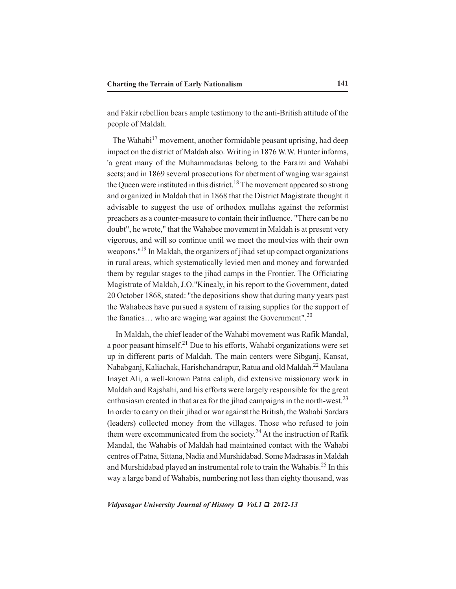and Fakir rebellion bears ample testimony to the anti-British attitude of the people of Maldah.

The Wahabi $17$  movement, another formidable peasant uprising, had deep impact on the district of Maldah also. Writing in 1876 W.W. Hunter informs, 'a great many of the Muhammadanas belong to the Faraizi and Wahabi sects; and in 1869 several prosecutions for abetment of waging war against the Queen were instituted in this district.<sup>18</sup> The movement appeared so strong and organized in Maldah that in 1868 that the District Magistrate thought it advisable to suggest the use of orthodox mullahs against the reformist preachers as a counter-measure to contain their influence. "There can be no doubt", he wrote," that the Wahabee movement in Maldah is at present very vigorous, and will so continue until we meet the moulvies with their own weapons."19 In Maldah, the organizers of jihad set up compact organizations in rural areas, which systematically levied men and money and forwarded them by regular stages to the jihad camps in the Frontier. The Officiating Magistrate of Maldah, J.O."Kinealy, in his report to the Government, dated 20 October 1868, stated: "the depositions show that during many years past the Wahabees have pursued a system of raising supplies for the support of the fanatics... who are waging war against the Government".<sup>20</sup>

 In Maldah, the chief leader of the Wahabi movement was Rafik Mandal, a poor peasant himself.<sup>21</sup> Due to his efforts, Wahabi organizations were set up in different parts of Maldah. The main centers were Sibganj, Kansat, Nababganj, Kaliachak, Harishchandrapur, Ratua and old Maldah.22 Maulana Inayet Ali, a well-known Patna caliph, did extensive missionary work in Maldah and Rajshahi, and his efforts were largely responsible for the great enthusiasm created in that area for the jihad campaigns in the north-west.<sup>23</sup> In order to carry on their jihad or war against the British, the Wahabi Sardars (leaders) collected money from the villages. Those who refused to join them were excommunicated from the society.<sup>24</sup> At the instruction of Rafik Mandal, the Wahabis of Maldah had maintained contact with the Wahabi centres of Patna, Sittana, Nadia and Murshidabad. Some Madrasas in Maldah and Murshidabad played an instrumental role to train the Wahabis.25 In this way a large band of Wahabis, numbering not less than eighty thousand, was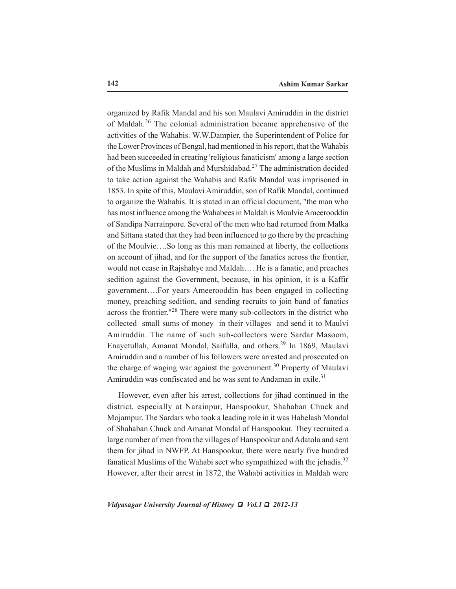organized by Rafik Mandal and his son Maulavi Amiruddin in the district of Maldah.<sup>26</sup> The colonial administration became apprehensive of the activities of the Wahabis. W.W.Dampier, the Superintendent of Police for the Lower Provinces of Bengal, had mentioned in his report, that the Wahabis had been succeeded in creating 'religious fanaticism' among a large section of the Muslims in Maldah and Murshidabad.27 The administration decided to take action against the Wahabis and Rafik Mandal was imprisoned in 1853. In spite of this, Maulavi Amiruddin, son of Rafik Mandal, continued to organize the Wahabis. It is stated in an official document, "the man who has most influence among the Wahabees in Maldah is Moulvie Ameerooddin of Sandipa Narrainpore. Several of the men who had returned from Malka and Sittana stated that they had been influenced to go there by the preaching of the Moulvie….So long as this man remained at liberty, the collections on account of jihad, and for the support of the fanatics across the frontier, would not cease in Rajshahye and Maldah…. He is a fanatic, and preaches sedition against the Government, because, in his opinion, it is a Kaffir government….For years Ameerooddin has been engaged in collecting money, preaching sedition, and sending recruits to join band of fanatics across the frontier."28 There were many sub-collectors in the district who collected small sums of money in their villages and send it to Maulvi Amiruddin. The name of such sub-collectors were Sardar Masoom, Enayetullah, Amanat Mondal, Saifulla, and others.29 In 1869, Maulavi Amiruddin and a number of his followers were arrested and prosecuted on the charge of waging war against the government.<sup>30</sup> Property of Maulavi Amiruddin was confiscated and he was sent to Andaman in exile. $31$ 

 However, even after his arrest, collections for jihad continued in the district, especially at Narainpur, Hanspookur, Shahaban Chuck and Mojampur. The Sardars who took a leading role in it was Habelash Mondal of Shahaban Chuck and Amanat Mondal of Hanspookur. They recruited a large number of men from the villages of Hanspookur and Adatola and sent them for jihad in NWFP. At Hanspookur, there were nearly five hundred fanatical Muslims of the Wahabi sect who sympathized with the jehadis.<sup>32</sup> However, after their arrest in 1872, the Wahabi activities in Maldah were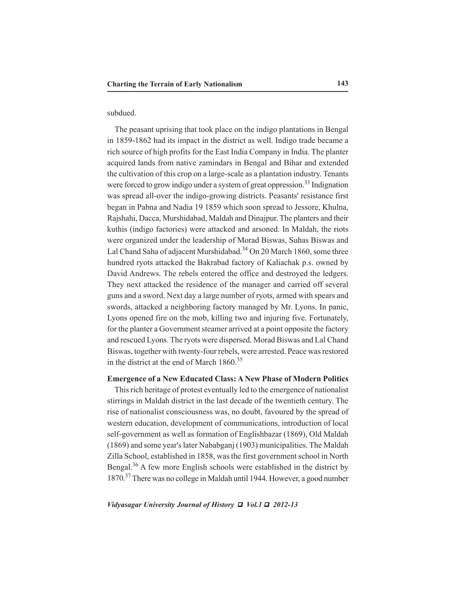## subdued.

 The peasant uprising that took place on the indigo plantations in Bengal in 1859-1862 had its impact in the district as well. Indigo trade became a rich source of high profits for the East India Company in India. The planter acquired lands from native zamindars in Bengal and Bihar and extended the cultivation of this crop on a large-scale as a plantation industry. Tenants were forced to grow indigo under a system of great oppression.<sup>33</sup> Indignation was spread all-over the indigo-growing districts. Peasants' resistance first began in Pabna and Nadia 19 1859 which soon spread to Jessore, Khulna, Rajshahi, Dacca, Murshidabad, Maldah and Dinajpur. The planters and their kuthis (indigo factories) were attacked and arsoned. In Maldah, the riots were organized under the leadership of Morad Biswas, Suhas Biswas and Lal Chand Saha of adjacent Murshidabad.<sup>34</sup> On 20 March 1860, some three hundred ryots attacked the Bakrabad factory of Kaliachak p.s. owned by David Andrews. The rebels entered the office and destroyed the ledgers. They next attacked the residence of the manager and carried off several guns and a sword. Next day a large number of ryots, armed with spears and swords, attacked a neighboring factory managed by Mr. Lyons. In panic, Lyons opened fire on the mob, killing two and injuring five. Fortunately, for the planter a Government steamer arrived at a point opposite the factory and rescued Lyons. The ryots were dispersed. Morad Biswas and Lal Chand Biswas, together with twenty-four rebels, were arrested. Peace was restored in the district at the end of March 1860.<sup>35</sup>

# **Emergence of a New Educated Class: A New Phase of Modern Politics**

 This rich heritage of protest eventually led to the emergence of nationalist stirrings in Maldah district in the last decade of the twentieth century. The rise of nationalist consciousness was, no doubt, favoured by the spread of western education, development of communications, introduction of local self-government as well as formation of Englishbazar (1869), Old Maldah (1869) and some year's later Nababganj (1903) municipalities. The Maldah Zilla School, established in 1858, was the first government school in North Bengal.<sup>36</sup> A few more English schools were established in the district by 1870.37 There was no college in Maldah until 1944. However, a good number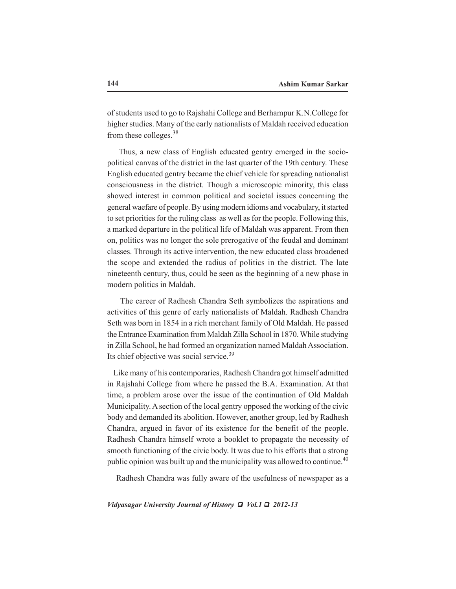of students used to go to Rajshahi College and Berhampur K.N.College for higher studies. Many of the early nationalists of Maldah received education from these colleges.<sup>38</sup>

 Thus, a new class of English educated gentry emerged in the sociopolitical canvas of the district in the last quarter of the 19th century. These English educated gentry became the chief vehicle for spreading nationalist consciousness in the district. Though a microscopic minority, this class showed interest in common political and societal issues concerning the general waefare of people. By using modern idioms and vocabulary, it started to set priorities for the ruling class as well as for the people. Following this, a marked departure in the political life of Maldah was apparent. From then on, politics was no longer the sole prerogative of the feudal and dominant classes. Through its active intervention, the new educated class broadened the scope and extended the radius of politics in the district. The late nineteenth century, thus, could be seen as the beginning of a new phase in modern politics in Maldah.

 The career of Radhesh Chandra Seth symbolizes the aspirations and activities of this genre of early nationalists of Maldah. Radhesh Chandra Seth was born in 1854 in a rich merchant family of Old Maldah. He passed the Entrance Examination from Maldah Zilla School in 1870. While studying in Zilla School, he had formed an organization named Maldah Association. Its chief objective was social service.<sup>39</sup>

 Like many of his contemporaries, Radhesh Chandra got himself admitted in Rajshahi College from where he passed the B.A. Examination. At that time, a problem arose over the issue of the continuation of Old Maldah Municipality. A section of the local gentry opposed the working of the civic body and demanded its abolition. However, another group, led by Radhesh Chandra, argued in favor of its existence for the benefit of the people. Radhesh Chandra himself wrote a booklet to propagate the necessity of smooth functioning of the civic body. It was due to his efforts that a strong public opinion was built up and the municipality was allowed to continue.<sup>40</sup>

Radhesh Chandra was fully aware of the usefulness of newspaper as a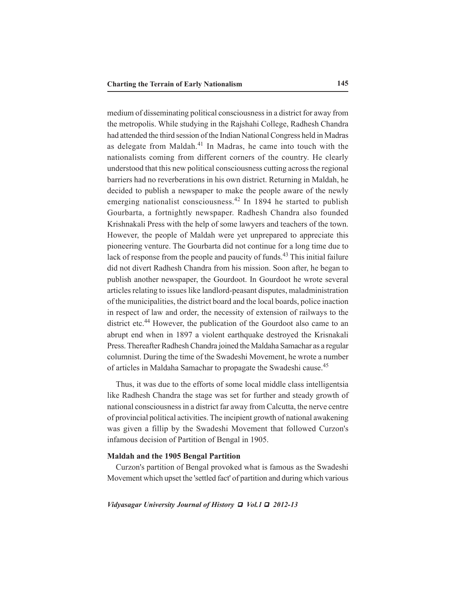medium of disseminating political consciousness in a district for away from the metropolis. While studying in the Rajshahi College, Radhesh Chandra had attended the third session of the Indian National Congress held in Madras as delegate from Maldah. $41$  In Madras, he came into touch with the nationalists coming from different corners of the country. He clearly understood that this new political consciousness cutting across the regional barriers had no reverberations in his own district. Returning in Maldah, he decided to publish a newspaper to make the people aware of the newly emerging nationalist consciousness.<sup>42</sup> In 1894 he started to publish Gourbarta, a fortnightly newspaper. Radhesh Chandra also founded Krishnakali Press with the help of some lawyers and teachers of the town. However, the people of Maldah were yet unprepared to appreciate this pioneering venture. The Gourbarta did not continue for a long time due to lack of response from the people and paucity of funds.<sup>43</sup> This initial failure did not divert Radhesh Chandra from his mission. Soon after, he began to publish another newspaper, the Gourdoot. In Gourdoot he wrote several articles relating to issues like landlord-peasant disputes, maladministration of the municipalities, the district board and the local boards, police inaction in respect of law and order, the necessity of extension of railways to the district etc.<sup>44</sup> However, the publication of the Gourdoot also came to an abrupt end when in 1897 a violent earthquake destroyed the Krisnakali Press. Thereafter Radhesh Chandra joined the Maldaha Samachar as a regular columnist. During the time of the Swadeshi Movement, he wrote a number of articles in Maldaha Samachar to propagate the Swadeshi cause.45

 Thus, it was due to the efforts of some local middle class intelligentsia like Radhesh Chandra the stage was set for further and steady growth of national consciousness in a district far away from Calcutta, the nerve centre of provincial political activities. The incipient growth of national awakening was given a fillip by the Swadeshi Movement that followed Curzon's infamous decision of Partition of Bengal in 1905.

# **Maldah and the 1905 Bengal Partition**

 Curzon's partition of Bengal provoked what is famous as the Swadeshi Movement which upset the 'settled fact' of partition and during which various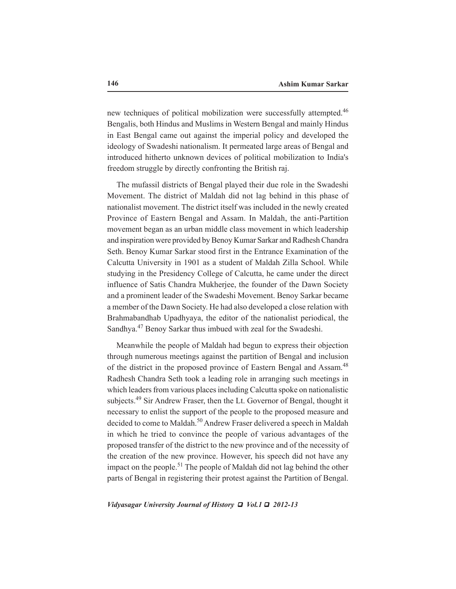new techniques of political mobilization were successfully attempted.<sup>46</sup> Bengalis, both Hindus and Muslims in Western Bengal and mainly Hindus in East Bengal came out against the imperial policy and developed the ideology of Swadeshi nationalism. It permeated large areas of Bengal and introduced hitherto unknown devices of political mobilization to India's freedom struggle by directly confronting the British raj.

 The mufassil districts of Bengal played their due role in the Swadeshi Movement. The district of Maldah did not lag behind in this phase of nationalist movement. The district itself was included in the newly created Province of Eastern Bengal and Assam. In Maldah, the anti-Partition movement began as an urban middle class movement in which leadership and inspiration were provided by Benoy Kumar Sarkar and Radhesh Chandra Seth. Benoy Kumar Sarkar stood first in the Entrance Examination of the Calcutta University in 1901 as a student of Maldah Zilla School. While studying in the Presidency College of Calcutta, he came under the direct influence of Satis Chandra Mukherjee, the founder of the Dawn Society and a prominent leader of the Swadeshi Movement. Benoy Sarkar became a member of the Dawn Society. He had also developed a close relation with Brahmabandhab Upadhyaya, the editor of the nationalist periodical, the Sandhya.<sup>47</sup> Benoy Sarkar thus imbued with zeal for the Swadeshi.

 Meanwhile the people of Maldah had begun to express their objection through numerous meetings against the partition of Bengal and inclusion of the district in the proposed province of Eastern Bengal and Assam.<sup>48</sup> Radhesh Chandra Seth took a leading role in arranging such meetings in which leaders from various places including Calcutta spoke on nationalistic subjects.<sup>49</sup> Sir Andrew Fraser, then the Lt. Governor of Bengal, thought it necessary to enlist the support of the people to the proposed measure and decided to come to Maldah.<sup>50</sup> Andrew Fraser delivered a speech in Maldah in which he tried to convince the people of various advantages of the proposed transfer of the district to the new province and of the necessity of the creation of the new province. However, his speech did not have any impact on the people.<sup>51</sup> The people of Maldah did not lag behind the other parts of Bengal in registering their protest against the Partition of Bengal.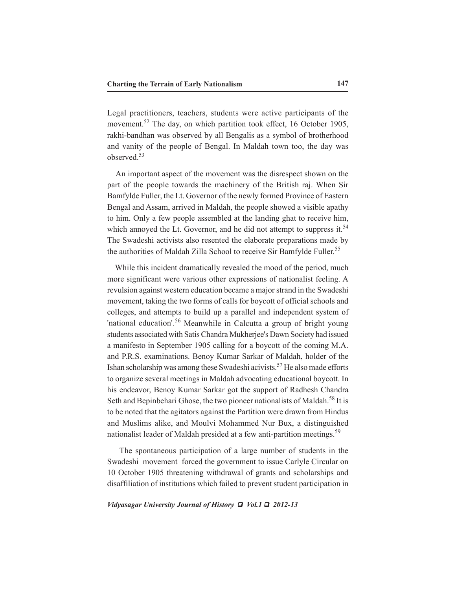Legal practitioners, teachers, students were active participants of the movement.<sup>52</sup> The day, on which partition took effect, 16 October 1905, rakhi-bandhan was observed by all Bengalis as a symbol of brotherhood and vanity of the people of Bengal. In Maldah town too, the day was observed<sup>53</sup>

 An important aspect of the movement was the disrespect shown on the part of the people towards the machinery of the British raj. When Sir Bamfylde Fuller, the Lt. Governor of the newly formed Province of Eastern Bengal and Assam, arrived in Maldah, the people showed a visible apathy to him. Only a few people assembled at the landing ghat to receive him, which annoyed the Lt. Governor, and he did not attempt to suppress it.<sup>54</sup> The Swadeshi activists also resented the elaborate preparations made by the authorities of Maldah Zilla School to receive Sir Bamfylde Fuller.<sup>55</sup>

 While this incident dramatically revealed the mood of the period, much more significant were various other expressions of nationalist feeling. A revulsion against western education became a major strand in the Swadeshi movement, taking the two forms of calls for boycott of official schools and colleges, and attempts to build up a parallel and independent system of 'national education'.56 Meanwhile in Calcutta a group of bright young students associated with Satis Chandra Mukherjee's Dawn Society had issued a manifesto in September 1905 calling for a boycott of the coming M.A. and P.R.S. examinations. Benoy Kumar Sarkar of Maldah, holder of the Ishan scholarship was among these Swadeshi acivists.<sup>57</sup> He also made efforts to organize several meetings in Maldah advocating educational boycott. In his endeavor, Benoy Kumar Sarkar got the support of Radhesh Chandra Seth and Bepinbehari Ghose, the two pioneer nationalists of Maldah.<sup>58</sup> It is to be noted that the agitators against the Partition were drawn from Hindus and Muslims alike, and Moulvi Mohammed Nur Bux, a distinguished nationalist leader of Maldah presided at a few anti-partition meetings.<sup>59</sup>

 The spontaneous participation of a large number of students in the Swadeshi movement forced the government to issue Carlyle Circular on 10 October 1905 threatening withdrawal of grants and scholarships and disaffiliation of institutions which failed to prevent student participation in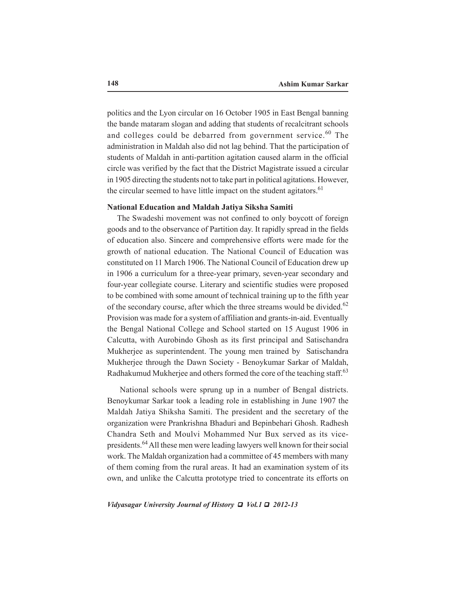politics and the Lyon circular on 16 October 1905 in East Bengal banning the bande mataram slogan and adding that students of recalcitrant schools and colleges could be debarred from government service.<sup>60</sup> The administration in Maldah also did not lag behind. That the participation of students of Maldah in anti-partition agitation caused alarm in the official circle was verified by the fact that the District Magistrate issued a circular in 1905 directing the students not to take part in political agitations. However, the circular seemed to have little impact on the student agitators.<sup>61</sup>

#### **National Education and Maldah Jatiya Siksha Samiti**

 The Swadeshi movement was not confined to only boycott of foreign goods and to the observance of Partition day. It rapidly spread in the fields of education also. Sincere and comprehensive efforts were made for the growth of national education. The National Council of Education was constituted on 11 March 1906. The National Council of Education drew up in 1906 a curriculum for a three-year primary, seven-year secondary and four-year collegiate course. Literary and scientific studies were proposed to be combined with some amount of technical training up to the fifth year of the secondary course, after which the three streams would be divided.<sup>62</sup> Provision was made for a system of affiliation and grants-in-aid. Eventually the Bengal National College and School started on 15 August 1906 in Calcutta, with Aurobindo Ghosh as its first principal and Satischandra Mukherjee as superintendent. The young men trained by Satischandra Mukherjee through the Dawn Society - Benoykumar Sarkar of Maldah, Radhakumud Mukherjee and others formed the core of the teaching staff.<sup>63</sup>

 National schools were sprung up in a number of Bengal districts. Benoykumar Sarkar took a leading role in establishing in June 1907 the Maldah Jatiya Shiksha Samiti. The president and the secretary of the organization were Prankrishna Bhaduri and Bepinbehari Ghosh. Radhesh Chandra Seth and Moulvi Mohammed Nur Bux served as its vicepresidents.64 All these men were leading lawyers well known for their social work. The Maldah organization had a committee of 45 members with many of them coming from the rural areas. It had an examination system of its own, and unlike the Calcutta prototype tried to concentrate its efforts on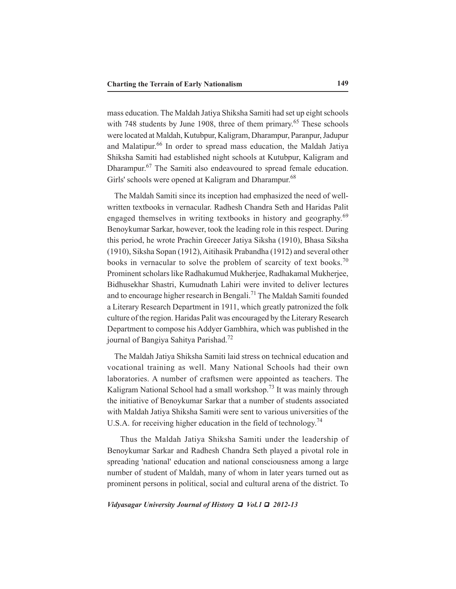mass education. The Maldah Jatiya Shiksha Samiti had set up eight schools with 748 students by June 1908, three of them primary.<sup>65</sup> These schools were located at Maldah, Kutubpur, Kaligram, Dharampur, Paranpur, Jadupur and Malatipur.<sup>66</sup> In order to spread mass education, the Maldah Jatiya Shiksha Samiti had established night schools at Kutubpur, Kaligram and Dharampur.<sup>67</sup> The Samiti also endeavoured to spread female education. Girls' schools were opened at Kaligram and Dharampur.<sup>68</sup>

 The Maldah Samiti since its inception had emphasized the need of wellwritten textbooks in vernacular. Radhesh Chandra Seth and Haridas Palit engaged themselves in writing textbooks in history and geography.<sup>69</sup> Benoykumar Sarkar, however, took the leading role in this respect. During this period, he wrote Prachin Greecer Jatiya Siksha (1910), Bhasa Siksha (1910), Siksha Sopan (1912), Aitihasik Prabandha (1912) and several other books in vernacular to solve the problem of scarcity of text books.<sup>70</sup> Prominent scholars like Radhakumud Mukherjee, Radhakamal Mukherjee, Bidhusekhar Shastri, Kumudnath Lahiri were invited to deliver lectures and to encourage higher research in Bengali.<sup>71</sup> The Maldah Samiti founded a Literary Research Department in 1911, which greatly patronized the folk culture of the region. Haridas Palit was encouraged by the Literary Research Department to compose his Addyer Gambhira, which was published in the journal of Bangiya Sahitya Parishad.<sup>72</sup>

 The Maldah Jatiya Shiksha Samiti laid stress on technical education and vocational training as well. Many National Schools had their own laboratories. A number of craftsmen were appointed as teachers. The Kaligram National School had a small workshop.<sup>73</sup> It was mainly through the initiative of Benoykumar Sarkar that a number of students associated with Maldah Jatiya Shiksha Samiti were sent to various universities of the U.S.A. for receiving higher education in the field of technology.<sup>74</sup>

 Thus the Maldah Jatiya Shiksha Samiti under the leadership of Benoykumar Sarkar and Radhesh Chandra Seth played a pivotal role in spreading 'national' education and national consciousness among a large number of student of Maldah, many of whom in later years turned out as prominent persons in political, social and cultural arena of the district. To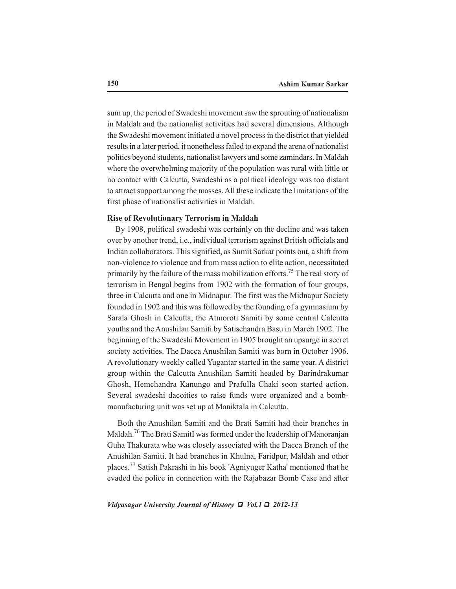sum up, the period of Swadeshi movement saw the sprouting of nationalism in Maldah and the nationalist activities had several dimensions. Although the Swadeshi movement initiated a novel process in the district that yielded results in a later period, it nonetheless failed to expand the arena of nationalist politics beyond students, nationalist lawyers and some zamindars. In Maldah where the overwhelming majority of the population was rural with little or no contact with Calcutta, Swadeshi as a political ideology was too distant to attract support among the masses. All these indicate the limitations of the first phase of nationalist activities in Maldah.

# **Rise of Revolutionary Terrorism in Maldah**

 By 1908, political swadeshi was certainly on the decline and was taken over by another trend, i.e., individual terrorism against British officials and Indian collaborators. This signified, as Sumit Sarkar points out, a shift from non-violence to violence and from mass action to elite action, necessitated primarily by the failure of the mass mobilization efforts.<sup>75</sup> The real story of terrorism in Bengal begins from 1902 with the formation of four groups, three in Calcutta and one in Midnapur. The first was the Midnapur Society founded in 1902 and this was followed by the founding of a gymnasium by Sarala Ghosh in Calcutta, the Atmoroti Samiti by some central Calcutta youths and the Anushilan Samiti by Satischandra Basu in March 1902. The beginning of the Swadeshi Movement in 1905 brought an upsurge in secret society activities. The Dacca Anushilan Samiti was born in October 1906. A revolutionary weekly called Yugantar started in the same year. A district group within the Calcutta Anushilan Samiti headed by Barindrakumar Ghosh, Hemchandra Kanungo and Prafulla Chaki soon started action. Several swadeshi dacoities to raise funds were organized and a bombmanufacturing unit was set up at Maniktala in Calcutta.

 Both the Anushilan Samiti and the Brati Samiti had their branches in Maldah.<sup>76</sup> The Brati SamitI was formed under the leadership of Manoranjan Guha Thakurata who was closely associated with the Dacca Branch of the Anushilan Samiti. It had branches in Khulna, Faridpur, Maldah and other places.77 Satish Pakrashi in his book 'Agniyuger Katha' mentioned that he evaded the police in connection with the Rajabazar Bomb Case and after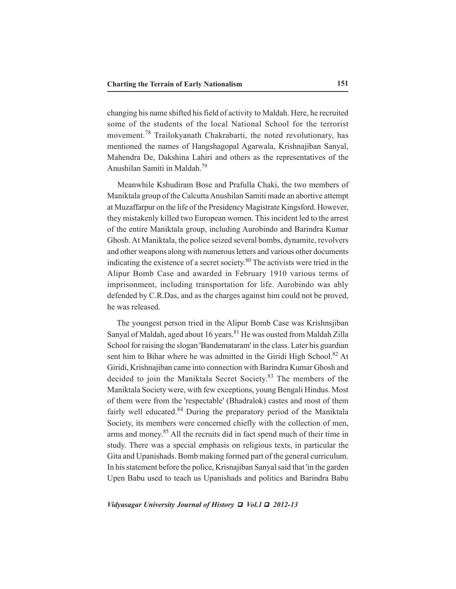changing his name shifted his field of activity to Maldah. Here, he recruited some of the students of the local National School for the terrorist movement.78 Trailokyanath Chakrabarti, the noted revolutionary, has mentioned the names of Hangshagopal Agarwala, Krishnajiban Sanyal, Mahendra De, Dakshina Lahiri and others as the representatives of the Anushilan Samiti in Maldah.79

 Meanwhile Kshudiram Bose and Prafulla Chaki, the two members of Maniktala group of the Calcutta Anushilan Samiti made an abortive attempt at Muzaffarpur on the life of the Presidency Magistrate Kingsford. However, they mistakenly killed two European women. This incident led to the arrest of the entire Maniktala group, including Aurobindo and Barindra Kumar Ghosh. At Maniktala, the police seized several bombs, dynamite, revolvers and other weapons along with numerous letters and various other documents indicating the existence of a secret society.<sup>80</sup> The activists were tried in the Alipur Bomb Case and awarded in February 1910 various terms of imprisonment, including transportation for life. Aurobindo was ably defended by C.R.Das, and as the charges against him could not be proved, he was released.

 The youngest person tried in the Alipur Bomb Case was Krishnsjiban Sanyal of Maldah, aged about 16 years.<sup>81</sup> He was ousted from Maldah Zilla School for raising the slogan 'Bandemataram' in the class. Later his guardian sent him to Bihar where he was admitted in the Giridi High School.<sup>82</sup> At Giridi, Krishnajiban came into connection with Barindra Kumar Ghosh and decided to join the Maniktala Secret Society.<sup>83</sup> The members of the Maniktala Society were, with few exceptions, young Bengali Hindus. Most of them were from the 'respectable' (Bhadralok) castes and most of them fairly well educated.<sup>84</sup> During the preparatory period of the Maniktala Society, its members were concerned chiefly with the collection of men, arms and money.<sup>85</sup> All the recruits did in fact spend much of their time in study. There was a special emphasis on religious texts, in particular the Gita and Upanishads. Bomb making formed part of the general curriculum. In his statement before the police, Krisnajiban Sanyal said that 'in the garden Upen Babu used to teach us Upanishads and politics and Barindra Babu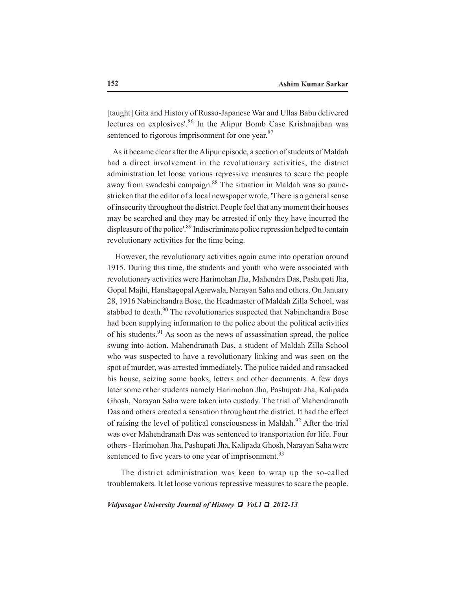[taught] Gita and History of Russo-Japanese War and Ullas Babu delivered lectures on explosives'.<sup>86</sup> In the Alipur Bomb Case Krishnajiban was sentenced to rigorous imprisonment for one year.<sup>87</sup>

 As it became clear after the Alipur episode, a section of students of Maldah had a direct involvement in the revolutionary activities, the district administration let loose various repressive measures to scare the people away from swadeshi campaign.<sup>88</sup> The situation in Maldah was so panicstricken that the editor of a local newspaper wrote, 'There is a general sense of insecurity throughout the district. People feel that any moment their houses may be searched and they may be arrested if only they have incurred the displeasure of the police'.<sup>89</sup> Indiscriminate police repression helped to contain revolutionary activities for the time being.

 However, the revolutionary activities again came into operation around 1915. During this time, the students and youth who were associated with revolutionary activities were Harimohan Jha, Mahendra Das, Pashupati Jha, Gopal Majhi, Hanshagopal Agarwala, Narayan Saha and others. On January 28, 1916 Nabinchandra Bose, the Headmaster of Maldah Zilla School, was stabbed to death.<sup>90</sup> The revolutionaries suspected that Nabinchandra Bose had been supplying information to the police about the political activities of his students.<sup>91</sup> As soon as the news of assassination spread, the police swung into action. Mahendranath Das, a student of Maldah Zilla School who was suspected to have a revolutionary linking and was seen on the spot of murder, was arrested immediately. The police raided and ransacked his house, seizing some books, letters and other documents. A few days later some other students namely Harimohan Jha, Pashupati Jha, Kalipada Ghosh, Narayan Saha were taken into custody. The trial of Mahendranath Das and others created a sensation throughout the district. It had the effect of raising the level of political consciousness in Maldah.<sup>92</sup> After the trial was over Mahendranath Das was sentenced to transportation for life. Four others - Harimohan Jha, Pashupati Jha, Kalipada Ghosh, Narayan Saha were sentenced to five years to one year of imprisonment.<sup>93</sup>

 The district administration was keen to wrap up the so-called troublemakers. It let loose various repressive measures to scare the people.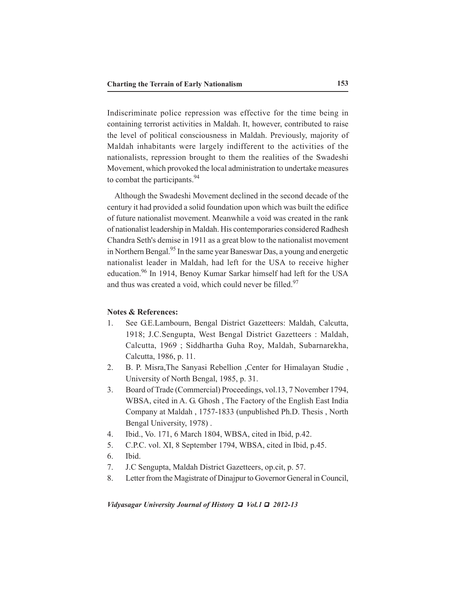Indiscriminate police repression was effective for the time being in containing terrorist activities in Maldah. It, however, contributed to raise the level of political consciousness in Maldah. Previously, majority of Maldah inhabitants were largely indifferent to the activities of the nationalists, repression brought to them the realities of the Swadeshi Movement, which provoked the local administration to undertake measures to combat the participants.<sup>94</sup>

 Although the Swadeshi Movement declined in the second decade of the century it had provided a solid foundation upon which was built the edifice of future nationalist movement. Meanwhile a void was created in the rank of nationalist leadership in Maldah. His contemporaries considered Radhesh Chandra Seth's demise in 1911 as a great blow to the nationalist movement in Northern Bengal.<sup>95</sup> In the same year Baneswar Das, a young and energetic nationalist leader in Maldah, had left for the USA to receive higher education.96 In 1914, Benoy Kumar Sarkar himself had left for the USA and thus was created a void, which could never be filled.<sup>97</sup>

## **Notes & References:**

- 1. See G.E.Lambourn, Bengal District Gazetteers: Maldah, Calcutta, 1918; J.C.Sengupta, West Bengal District Gazetteers : Maldah, Calcutta, 1969 ; Siddhartha Guha Roy, Maldah, Subarnarekha, Calcutta, 1986, p. 11.
- 2. B. P. Misra,The Sanyasi Rebellion ,Center for Himalayan Studie , University of North Bengal, 1985, p. 31.
- 3. Board of Trade (Commercial) Proceedings, vol.13, 7 November 1794, WBSA, cited in A. G. Ghosh , The Factory of the English East India Company at Maldah , 1757-1833 (unpublished Ph.D. Thesis , North Bengal University, 1978) .
- 4. Ibid., Vo. 171, 6 March 1804, WBSA, cited in Ibid, p.42.
- 5. C.P.C. vol. XI, 8 September 1794, WBSA, cited in Ibid, p.45.
- 6. Ibid.
- 7. J.C Sengupta, Maldah District Gazetteers, op.cit, p. 57.
- 8. Letter from the Magistrate of Dinajpur to Governor General in Council,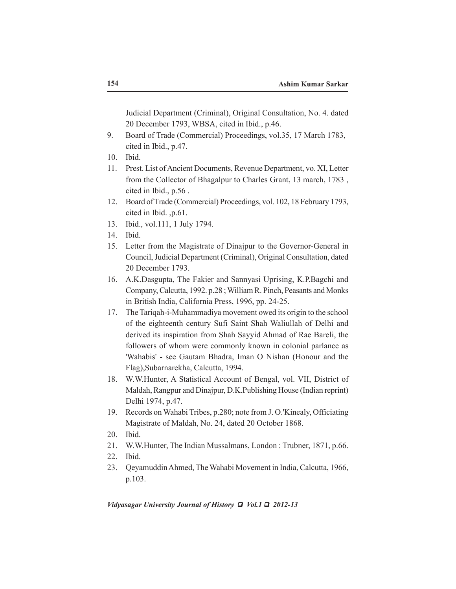Judicial Department (Criminal), Original Consultation, No. 4. dated 20 December 1793, WBSA, cited in Ibid., p.46.

- 9. Board of Trade (Commercial) Proceedings, vol.35, 17 March 1783, cited in Ibid., p.47.
- 10. Ibid.
- 11. Prest. List of Ancient Documents, Revenue Department, vo. XI, Letter from the Collector of Bhagalpur to Charles Grant, 13 march, 1783 , cited in Ibid., p.56 .
- 12. Board of Trade (Commercial) Proceedings, vol. 102, 18 February 1793, cited in Ibid. ,p.61.
- 13. Ibid., vol.111, 1 July 1794.
- 14. Ibid.
- 15. Letter from the Magistrate of Dinajpur to the Governor-General in Council, Judicial Department (Criminal), Original Consultation, dated 20 December 1793.
- 16. A.K.Dasgupta, The Fakier and Sannyasi Uprising, K.P.Bagchi and Company, Calcutta, 1992. p.28 ; William R. Pinch, Peasants and Monks in British India, California Press, 1996, pp. 24-25.
- 17. The Tariqah-i-Muhammadiya movement owed its origin to the school of the eighteenth century Sufi Saint Shah Waliullah of Delhi and derived its inspiration from Shah Sayyid Ahmad of Rae Bareli, the followers of whom were commonly known in colonial parlance as 'Wahabis' - see Gautam Bhadra, Iman O Nishan (Honour and the Flag),Subarnarekha, Calcutta, 1994.
- 18. W.W.Hunter, A Statistical Account of Bengal, vol. VII, District of Maldah, Rangpur and Dinajpur, D.K.Publishing House (Indian reprint) Delhi 1974, p.47.
- 19. Records on Wahabi Tribes, p.280; note from J. O.'Kinealy, Officiating Magistrate of Maldah, No. 24, dated 20 October 1868.
- 20. Ibid.
- 21. W.W.Hunter, The Indian Mussalmans, London : Trubner, 1871, p.66.
- 22. Ibid.
- 23. Qeyamuddin Ahmed, The Wahabi Movement in India, Calcutta, 1966, p.103.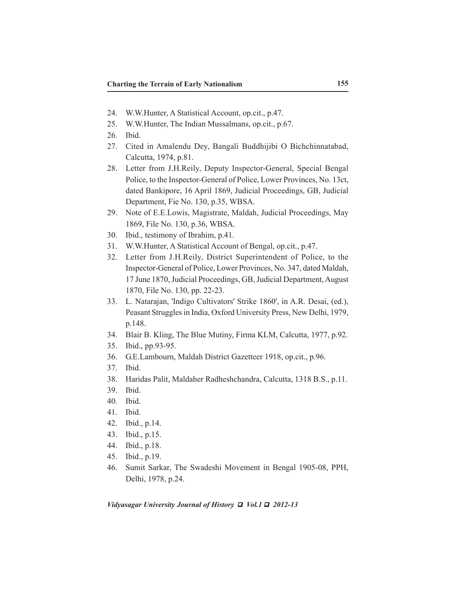- 24. W.W.Hunter, A Statistical Account, op.cit., p.47.
- 25. W.W.Hunter, The Indian Mussalmans, op.cit., p.67.
- 26. Ibid.
- 27. Cited in Amalendu Dey, Bangali Buddhijibi O Bichchinnatabad, Calcutta, 1974, p.81.
- 28. Letter from J.H.Reily, Deputy Inspector-General, Special Bengal Police, to the Inspector-General of Police, Lower Provinces, No. 13ct, dated Bankipore, 16 April 1869, Judicial Proceedings, GB, Judicial Department, Fie No. 130, p.35, WBSA.
- 29. Note of E.E.Lowis, Magistrate, Maldah, Judicial Proceedings, May 1869, File No. 130, p.36, WBSA.
- 30. Ibid., testimony of Ibrahim, p.41.
- 31. W.W.Hunter, A Statistical Account of Bengal, op.cit., p.47.
- 32. Letter from J.H.Reily, District Superintendent of Police, to the Inspector-General of Police, Lower Provinces, No. 347, dated Maldah, 17 June 1870, Judicial Proceedings, GB, Judicial Department, August 1870, File No. 130, pp. 22-23.
- 33. L. Natarajan, 'Indigo Cultivators' Strike 1860', in A.R. Desai, (ed.), Peasant Struggles in India, Oxford University Press, New Delhi, 1979, p.148.
- 34. Blair B. Kling, The Blue Mutiny, Firma KLM, Calcutta, 1977, p.92.
- 35. Ibid., pp.93-95.
- 36. G.E.Lambourn, Maldah District Gazetteer 1918, op.cit., p.96.
- 37. Ibid.
- 38. Haridas Palit, Maldaher Radheshchandra, Calcutta, 1318 B.S., p.11.
- 39. Ibid.
- 40. Ibid.
- 41. Ibid.
- 42. Ibid., p.14.
- 43. Ibid., p.15.
- 44. Ibid., p.18.
- 45. Ibid., p.19.
- 46. Sumit Sarkar, The Swadeshi Movement in Bengal 1905-08, PPH, Delhi, 1978, p.24.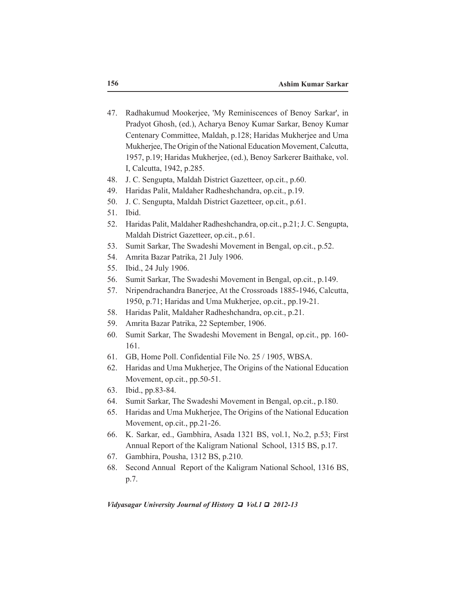- 47. Radhakumud Mookerjee, 'My Reminiscences of Benoy Sarkar', in Pradyot Ghosh, (ed.), Acharya Benoy Kumar Sarkar, Benoy Kumar Centenary Committee, Maldah, p.128; Haridas Mukherjee and Uma Mukherjee, The Origin of the National Education Movement, Calcutta, 1957, p.19; Haridas Mukherjee, (ed.), Benoy Sarkerer Baithake, vol. I, Calcutta, 1942, p.285.
- 48. J. C. Sengupta, Maldah District Gazetteer, op.cit., p.60.
- 49. Haridas Palit, Maldaher Radheshchandra, op.cit., p.19.
- 50. J. C. Sengupta, Maldah District Gazetteer, op.cit., p.61.
- 51. Ibid.
- 52. Haridas Palit, Maldaher Radheshchandra, op.cit., p.21; J. C. Sengupta, Maldah District Gazetteer, op.cit., p.61.
- 53. Sumit Sarkar, The Swadeshi Movement in Bengal, op.cit., p.52.
- 54. Amrita Bazar Patrika, 21 July 1906.
- 55. Ibid., 24 July 1906.
- 56. Sumit Sarkar, The Swadeshi Movement in Bengal, op.cit., p.149.
- 57. Nripendrachandra Banerjee, At the Crossroads 1885-1946, Calcutta, 1950, p.71; Haridas and Uma Mukherjee, op.cit., pp.19-21.
- 58. Haridas Palit, Maldaher Radheshchandra, op.cit., p.21.
- 59. Amrita Bazar Patrika, 22 September, 1906.
- 60. Sumit Sarkar, The Swadeshi Movement in Bengal, op.cit., pp. 160- 161.
- 61. GB, Home Poll. Confidential File No. 25 / 1905, WBSA.
- 62. Haridas and Uma Mukherjee, The Origins of the National Education Movement, op.cit., pp.50-51.
- 63. Ibid., pp.83-84.
- 64. Sumit Sarkar, The Swadeshi Movement in Bengal, op.cit., p.180.
- 65. Haridas and Uma Mukherjee, The Origins of the National Education Movement, op.cit., pp.21-26.
- 66. K. Sarkar, ed., Gambhira, Asada 1321 BS, vol.1, No.2, p.53; First Annual Report of the Kaligram National School, 1315 BS, p.17.
- 67. Gambhira, Pousha, 1312 BS, p.210.
- 68. Second Annual Report of the Kaligram National School, 1316 BS, p.7.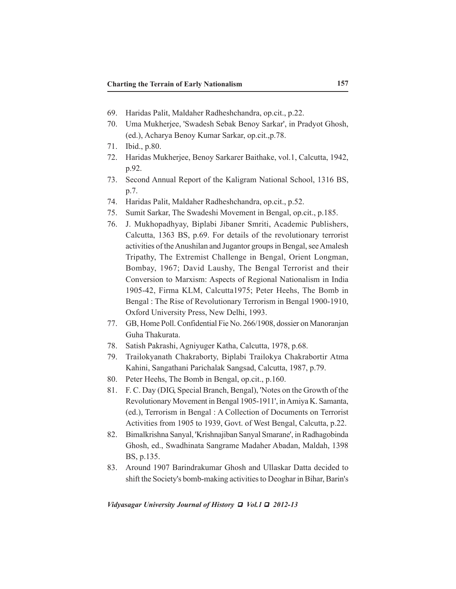- 69. Haridas Palit, Maldaher Radheshchandra, op.cit., p.22.
- 70. Uma Mukherjee, 'Swadesh Sebak Benoy Sarkar', in Pradyot Ghosh, (ed.), Acharya Benoy Kumar Sarkar, op.cit.,p.78.
- 71. Ibid., p.80.
- 72. Haridas Mukherjee, Benoy Sarkarer Baithake, vol.1, Calcutta, 1942, p.92.
- 73. Second Annual Report of the Kaligram National School, 1316 BS, p.7.
- 74. Haridas Palit, Maldaher Radheshchandra, op.cit., p.52.
- 75. Sumit Sarkar, The Swadeshi Movement in Bengal, op.cit., p.185.
- 76. J. Mukhopadhyay, Biplabi Jibaner Smriti, Academic Publishers, Calcutta, 1363 BS, p.69. For details of the revolutionary terrorist activities of the Anushilan and Jugantor groups in Bengal, see Amalesh Tripathy, The Extremist Challenge in Bengal, Orient Longman, Bombay, 1967; David Laushy, The Bengal Terrorist and their Conversion to Marxism: Aspects of Regional Nationalism in India 1905-42, Firma KLM, Calcutta1975; Peter Heehs, The Bomb in Bengal : The Rise of Revolutionary Terrorism in Bengal 1900-1910, Oxford University Press, New Delhi, 1993.
- 77. GB, Home Poll. Confidential Fie No. 266/1908, dossier on Manoranjan Guha Thakurata.
- 78. Satish Pakrashi, Agniyuger Katha, Calcutta, 1978, p.68.
- 79. Trailokyanath Chakraborty, Biplabi Trailokya Chakrabortir Atma Kahini, Sangathani Parichalak Sangsad, Calcutta, 1987, p.79.
- 80. Peter Heehs, The Bomb in Bengal, op.cit., p.160.
- 81. F. C. Day (DIG, Special Branch, Bengal), 'Notes on the Growth of the Revolutionary Movement in Bengal 1905-1911', in Amiya K. Samanta, (ed.), Terrorism in Bengal : A Collection of Documents on Terrorist Activities from 1905 to 1939, Govt. of West Bengal, Calcutta, p.22.
- 82. Bimalkrishna Sanyal, 'Krishnajiban Sanyal Smarane', in Radhagobinda Ghosh, ed., Swadhinata Sangrame Madaher Abadan, Maldah, 1398 BS, p.135.
- 83. Around 1907 Barindrakumar Ghosh and Ullaskar Datta decided to shift the Society's bomb-making activities to Deoghar in Bihar, Barin's